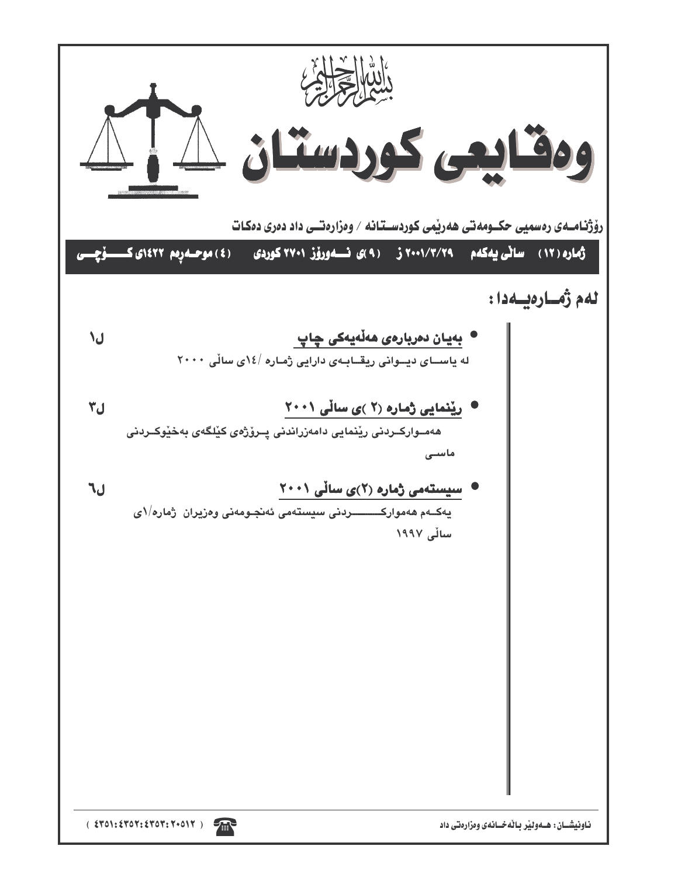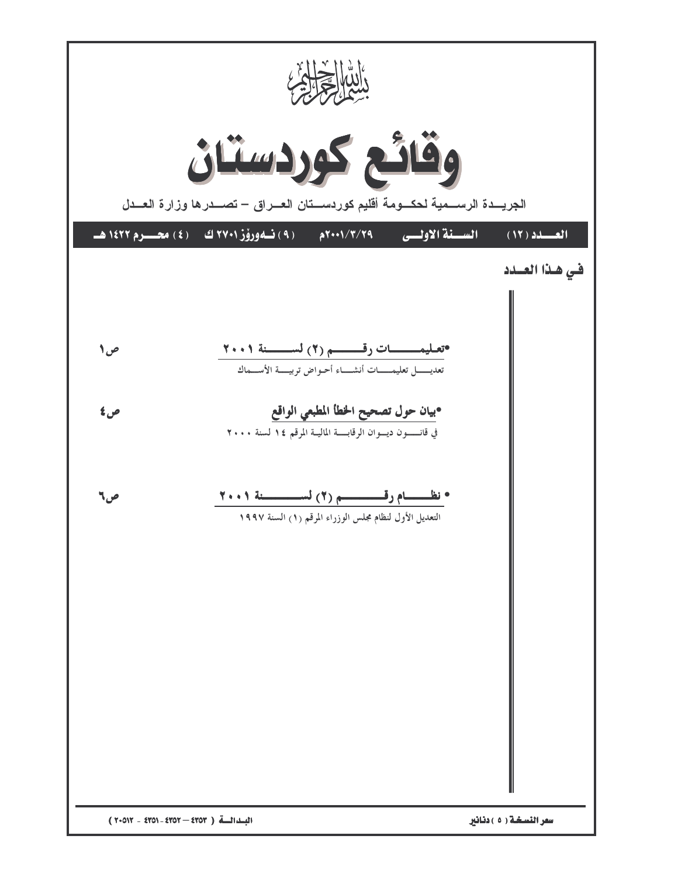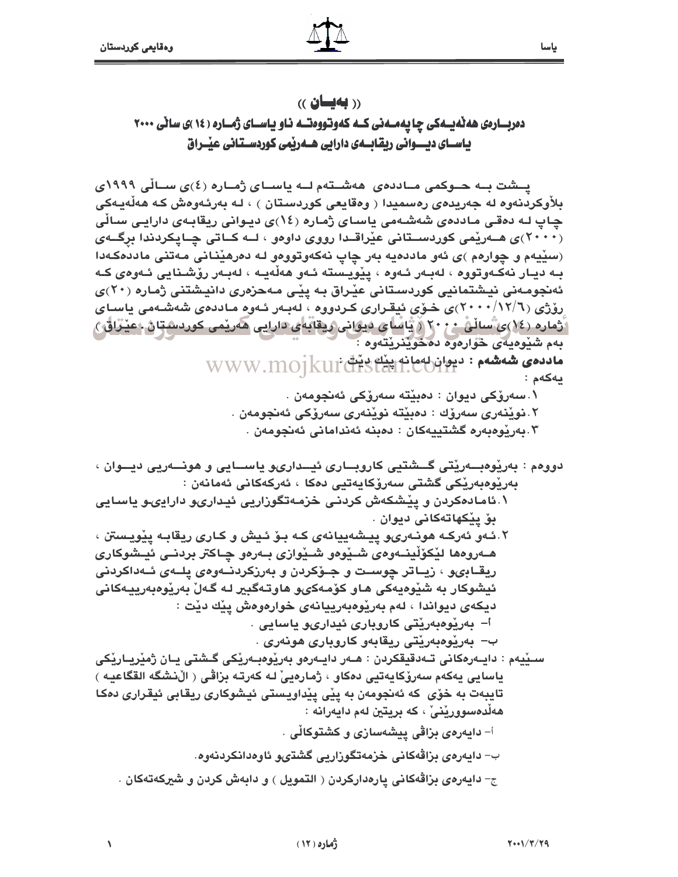### $($  (بەيسان)

دمرباردی هه نه یسه کی چا یه مسه نی کسه که وتووه تسه ناو یاسسای ژمساره ( ۱۶ )ی سانی ۲۰۰۰ یاســای دیــــوانی ریقابـــــهی دارایی هــــهریمی کوردســتـانی عیـــــراق

یسشت بــه حــوکمی مــاددهی ِ ههشــتهم لــه یاســای ژمــاره (٤)ی ســالی ۱۹۹۹ی بلأوكردنەوه لە جەريدەى رەسميدا ( وەقايعى كوردستان ) ، لـه بەرئـەوەش كـه ھەڵەيـەكى چاپ لـه دەقـي مـاددەي شەشـەمى ياسـاي ژمـارە (١٤)ى ديـوانى ريقابـەي دارايـي سـالى (۲۰۰۰) ی هــەرپمی کوردســتانی عیْراقــدا رووی داوەو ، لــه کــاتی چــایکردندا برگــهی (سێيهم و چوارهم )ي ئهو ماددهيه بهر چاپ نهكهوتووهو له دهرهێناني مهتني ماددهكهدا بـه ديـار نەكـەوتووە ، لەبـەر ئـەوە ، يێويـسته ئـەو ھەڵەيـە ، لەبـەر رۆشـنايى ئـەوەي كـە ئەنجومەنى نيشتمانيى كوردستانى عيْراق بـه پيْـى مـهحزەرى دانيشتنى ژمارە (٢٠)ى رۆژى (٢/١٢/٦)، خىۆى ئېقرارى كىردووە ، لەبەر ئـەوە مـاددەى شەشـەمى ياسـاي اَ ژماره (١٤)يُ ساڵنْ ٢٠٠ ( يَّاسَاي دَيوَانِي رِيقانِه ي دارايي هاريسي چورد شتان ١عينُرَاقِيَ ) بهم شَدُوهِيهِي حُوارِهِوه دهخوشرنتهوه :

WWW.MOJKUI CHSLEH.CUMPH : 44 PLOS يەكەم :

۰.سەرۆكى ديوان : دەبيتە سەرۆكى ئەنجومەن .

٢.نوێنەرى سەرۆك : دەبێتە نوێنەرى سەرۆكى ئەنجومەن .

۳.بەرێوەبەرە گشتييەكان : دەبنە ئەندامانى ئەنجومەن .

ريقـابىو ، زيـاتر چوسـت و جـۆكردن و بەرزكردنــەوەي يلــەي ئــەداكردنى ئيشوكار به شێوهيەكى هـاو كۆمـەكى6و ھاوتـەگبير لـه گـەلْ بەرێوەبەرپيـەكانى ديكەي ديواندا ، لەم بەريوەبەرييانەي خوارەوەش يێك دێت :

أ– بەرێوەبەرێتى كاروبارى ئيدارىو ياسايى .

ب– بەريوەبەريتى ريقابەو كاروبارى ھونەرى .

سـێيەم : دايـەرەكانى تـەدقيقكردن : ھـەر دايـەرەو بەرێوەبـەرێكى گـشتى يـان ژمێريـارێكى ياسايي يەكەم سەرۆكايەتيى دەكاو ، ژمارەييْ لـه كەرتـە بزاڤـى ( الْ(نشكَه القْكَاعيـه ) تايبهت به خوّى كه ئەنجومەن بە يێى يێداويستى ئيشوكارى ريقابى ئيقرارى دەكا هەڵدەسوورێنى ، كە بريتين لەم دايەرانە :

أ- دايەرەي بزاڤي ييشەسازى و كشتوكالّي .

ب- دايەرەي بزاقەكانى خزمەتگوزارىي گشتىو ئاوەدانكردنەوە.

ج- دایهرمی بزاقهکانی یارهدارکردن ( التمویل ) و دابهش کردن و شیرکهتهکان .

 $\sqrt{2}$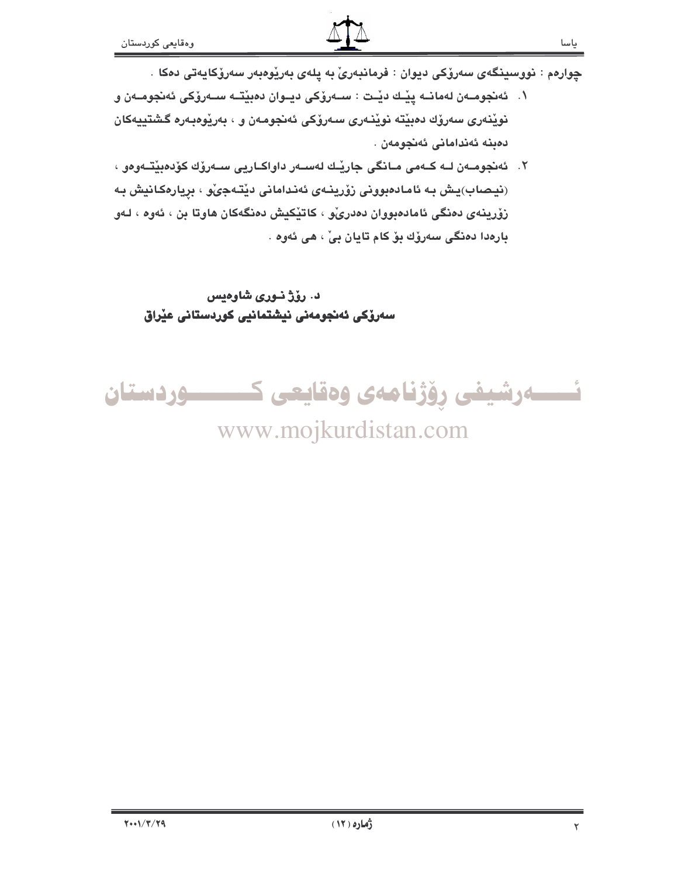چوارەم : نووسینگەی سەرۆکى ديوان : فرمانبەریؒ بە يلەی بەرێوەبەر سەرۆکايەتى دەکا .

- ١. ئەنجومــەن لەمانــە يێــك دێـت : ســەرۆكى ديــوان دەبێتــە ســەرۆكى ئەنجومــەن و نويْنەرى سەرۆك دەبيْتە نويْنـەرى سـەرۆكى ئەنجومـەن و ، بەريوەبـەرە گىشتييەكان دەبنە ئەندامانى ئەنجومەن .
- ٢. ئەنجومــەن لــه كــەمى مــانگى جاريْــك لـەســەر داواكــاريى ســەرۆك كۆدەبيّتــەوەو ، (نیصاب)پش به ئامادەبوونى زۆرپنەي ئەندامانى دێتەجىٚو ، بريارەكانيش بە زۆرينەي دەنگى ئامادەبوران دەدرى، كاتيكيش دەنگەكان ھاوتا بن ، ئەوە ، لـەو بارەدا دەنگى سەرۆك بۆكام تايان بىْ ، ھى ئەوە .

# د. رۆژ نـورى شاوەيس سەرۆكى ئەنجومەنى نيشتمانيى كوردستانى عيْراق

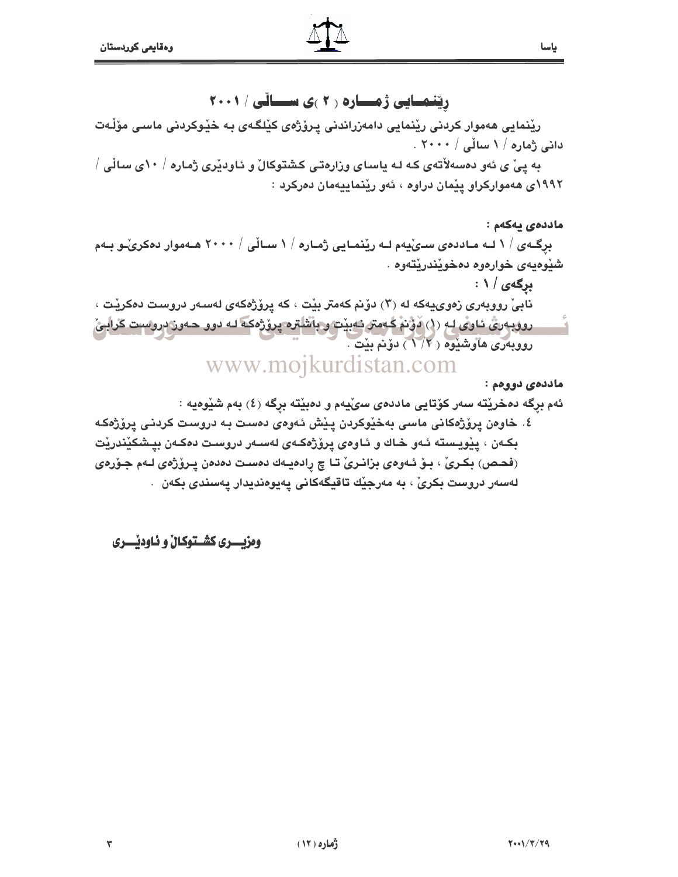ریفمایی ژمساره ۲۰ )ی سسالی / ۲۰۰۱

ریْنمایی هەموار کردنی ریْنمایی دامەزراندنی پرۆژەی کیْلگەی بە خیْوکردنی ماسی مۆلّەت دائی ژمارہ / ۱ سالّی / ۲۰۰۰ .

به ییْ ی ئەو دەسەلأتەی کـه لـه یاسـای وزارەتـی کـشتوکالْ و ئـاودیْری ژمـاره / ۱۰ی سـالْی / ١٩٩٢ى ھەمواركراو يێمان دراوە ، ئەو رێنماييەمان دەركرد :

ماددەي يەكەم : برِگـهى / ١ لـه مـاددەى سـىْيەم لـه ريْنمـايى ژمـارە / ١ سـاڵى / ٢٠٠٠ هـەموار دەكرىّـو بـەم شيوهيەي خوارەوە دەخويندريتەوە .

**برگەی / ۱** : نابيّ رووبەرى زەوييەكە لە (٣) دۆنم كەمتر بيْت ، كە يرۆژەكەي لەسەر دروست دەكريْت ، روويەری ئاوى لە (١) دۆنم گەمتر ئەبيت و باشلترە يرۆژەكە لـە دوو ھـەوز دروست گرايئ رووبهري هاوشنيوه (١/٢) دۆنم بنت . www.mojkurdistan.com

مادد*هي* دوومم :

ياسا

ئهم برگه دهخريقه سهر كۆتايى ماددەي سىّيەم و دەبيقه برگه (٤) بەم شيّوەيە :

٤. خاوەن پرۆژەكانى ماسى بەخێوكردن پێش ئەوەى دەست بە دروست كردنى پرۆژەكە بکـهن ، يێويـسته ئـهو خـاك و ئـاوەي يرۆژەکـهى لهسـهر دروسـت دەکـهن بيـشکێندرێت (فحـص) بكـرىٰ ، بـوْ ئـهوەي بزانـرىٰ تـا چ رادەيـهك دەسـت دەدەن پـروْژەي لـهم جـوّرەي لەسەر دروست بكرىْ ، بە مەرجێك تاقيگەكانى يەيوەنديدار يەسندى بكەن .

وهزيسري كشستوكال و ناوديسري

٣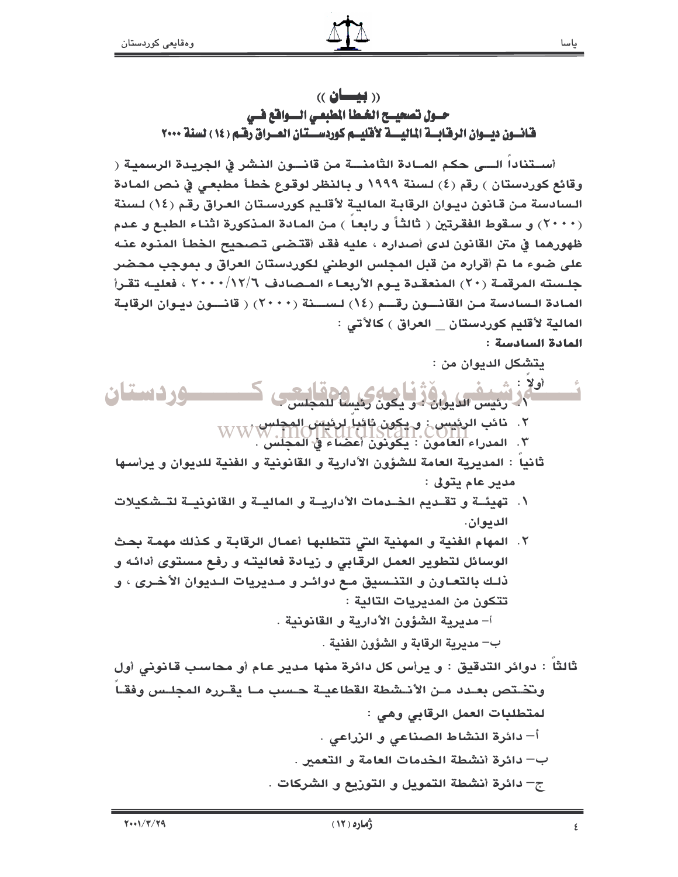$\alpha$  ((بیسان) حسول تصحيسح الخملأ المطبعي السوافة فسي قانسون ديسوان الرقابسة الماليسية لأقليسم كوردسستان العسراق رفتم (١٤) لسنة ٢٠٠٠

أســتناداً الــــى حكم المــادة الثّامنــــة من قانـــون النـشر في الجريـدة الرسميـة ( وقائع كوردستان ) رقم (٤) لسنة ١٩٩٩ و بالنظر لوقوع خطأ مطبعي في نص المادة السادسة من قانون ديـوان الرقابـة الماليـة لأقلـيم كوردسـتان العـراق رقم (١٤) لـسنة (٢٠٠٠) و سـقوط الفقرتين ( ثالثاً و رابعاً ) من المادة المذكورة اثنـاء الطبـع و عدم ظهورهما في متن القانون لدى أصداره ، عليه فقد أقتـضي تـصـحيح الـخطـأ المنـوه عنـه على ضوء ما نمّ أقراره من قبل المجلس الوطني لكوردستان العراق و بموجب محضر جلسته المرقمـة (٢٠) المنعقـدة يـوم الأربعـاء المـصادف ٢٠٠٠/١٢/٦ ، فعليـه تقـرأ المادة السادسة من القانسون رقسم (١٤) لسسنة (٢٠٠٠) ( قانسون ديبوان الرقابة المالية لأقليم كوردستان العراق ) كالأتى : المادة السادسة :

يتشكل الديوان من :

- $\therefore$   $\geq$   $\circ$ والتصني العايول أو في العام كان المحاسن ب وردستان ٢. نائب الرئيس : و يكون ثائباً لرئيس المجلس WW W.<br>WW M.DINILISTAN.CONT<br>٣. المدراء العامون : يكونون أعضاء في المجلس .
	- ثانياً : المديرية العامة للشؤون الأدارية و القانونية و الفنية للديوان و يرأسها مدير عام يتولى :
	- ١. تهيئــة و تقـديم الخـدمات الأداريــة و الماليــة و القانونيــة لتــشكيلات الديوان.
- ٢. المهام الفنية و المهنية التي تتطلبها أعمال الرقابة و كذلك مهمة بحث الوسائل لتطوير العمل الرقابي و زيادة فعاليته و رفع مستوى أدائه و ذلك بالتعـاون و التنـسيق مـع دوائـر و مـديريات الـديوان الأخـرى ، و تتكون من المدبربات التالية : أ– مديرية الشؤون الأدارية و القانونية .

ب— مديرية الرقابة و الشؤون الفنية .

ثالثاً : دوائر التدقيق : و يرأس كل دائرة منها مدير عام أو محاسب قانوني أول وتختص بعـدد مـن الأنـشطة القطاعيــة حـسب مـا يقـرره المجلـس وفقـاً لمتطلبات العمل الرقابي وهي : أ– دائرة النشاط الصناعي و الزراعي . ب— دائرة أنشطة الخدمات العامة و التعمير . ج– دائرة أنشطة التمويل و التوزيع و الشركات .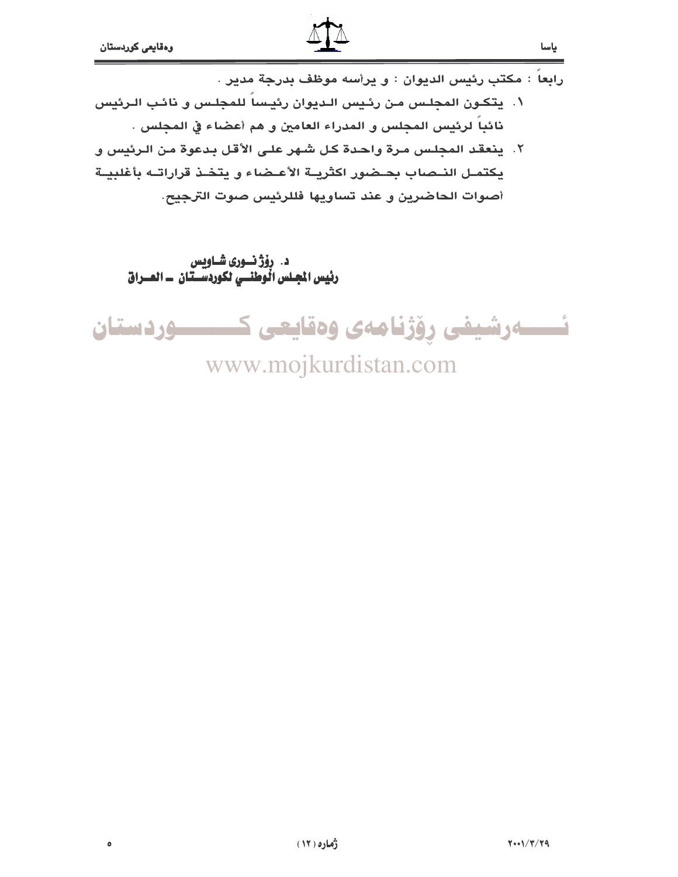$\bullet$ 



رابعا : مكتب رئيس الديوان : و يرأسه موظف بدرجة مدير . ٠١. يتكـون المجلـس مـن رئـيس الـديوان رئيـسا للمجلـس و نائـب الـرئيس نائباً لرئيس المجلس و المدراء العامين و هم أعضاء في المجلس .

٢. ينعقد المحلس مرة واحدة كل شهر على الأقل بدعوة من الرئيس و بكتمل النحباب بحضور اكثريبة الأعيضاء و بتخذ قراراتيه بأغلبية أصوات الحاضرين و عند تساويها فللرئيس صوت الترجيح.

د. رۆژ نــورى شــاويس رئيس المجلس الْوَطَنَــيِ لَكوردسَــتّان ــ العــراق

ئــــــەرشيفى رۆژنامەى وەقايعى كــــــــــوردستان

www.mojkurdistan.com

ياسا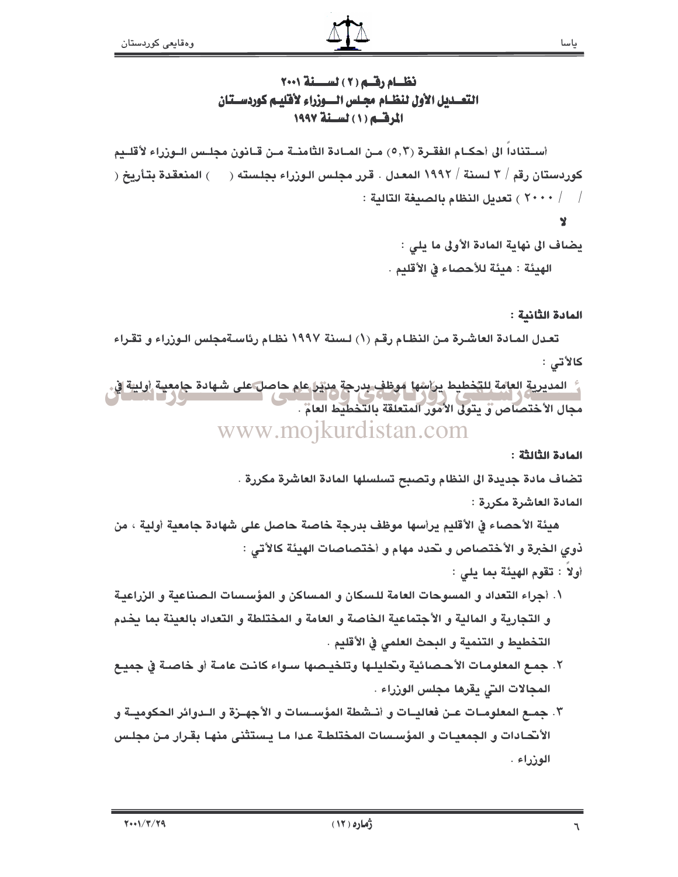## نظــام رقــم (٢) لســـنة ٢٠٠١ التعسديل الأول لنظيام مجيلس السوزراء لأقليبم كوردسيتان المرقسم (١) لسنة ١٩٩٧

أسـتناداً الى أحكـام الفقـرة (٥,٣) مـن المـادة الثامنــة مـن قـانون مجلـس الـوزراء لأقلــيم كوردستان رقم / ٣ لسنة / ١٩٩٢ المعدل . قرر مجلس الـوزراء بجلسته ( ) المنعقدة بتـأريخ ( ل - ٢٠٠٠ ) تعديل النظام بالصيغة التالية :  $\sim$  /  $\sim$  /  $\sim$ 

 $\mathbf{Y}$ 

يضاف الى نهاية المادة الأولى ما يلي : الهيئة : هيئة للأحصاء في الأقليم .

### المادة الثانية :

تعـدل المـادة العاشـرة مـن النظـام رقـم (١) لـسنة ١٩٩٧ نظـام رئاسـةمجلس الـوزراء و تقـراء كالأتي :

المديرية العامة للتخطيط يراشها موظف بدرجة مريرا عام حاصل على شهادة جامعية أولية إفي. مجال الأختصاص و بتولى الأمور المتعلقة بالتخطيط العامّ . www.mojkurdistan.com

#### المادة الثالثة :

تضاف مادة جديدة الى النظام وتصبح تسلسلها المادة العاشرة مكررة .

#### المادة العاشرة مكررة :

هيئة الأحصاء في الأقليم يرأسها موظف بدرجة خاصة حاصل على شهادة جامعية أولية ، من ذوى الخبرة و الأختصاص و تحدد مهام و أختصاصات الهيئة كالأتي :

- أولا : تقوم الهيئة بما بلي :
- ١. أجراء التعداد و المسوحات العامة للسكان و المساكن و المؤسسات الصناعية و الزراعية و التجارية و المالية و الأجتماعية الخاصة و العامة و المختلطة و التعداد بالعينة بما يخدم التخطيط و التنمية و البحث العلمي في الأقليم .
- ٢. جمـع المعلومـات الأحـصـائية وتحليلـها وتلخيـصها سـواء كانـت عامـة أو خاصـة في جميـع المحالات التي يقرها مجلس الوزراء .
- ٣. جمــع المعلومــات عــن فعاليــات و أنــشطة المؤســسات و الأجهــزة و الــدوائر الحكوميــة و الأنحـادات و الجمعيـات و المؤسـسات المختلطـة عـدا مـا يـستثنـى منهـا بقـرار مـن مجلـس الوزراء .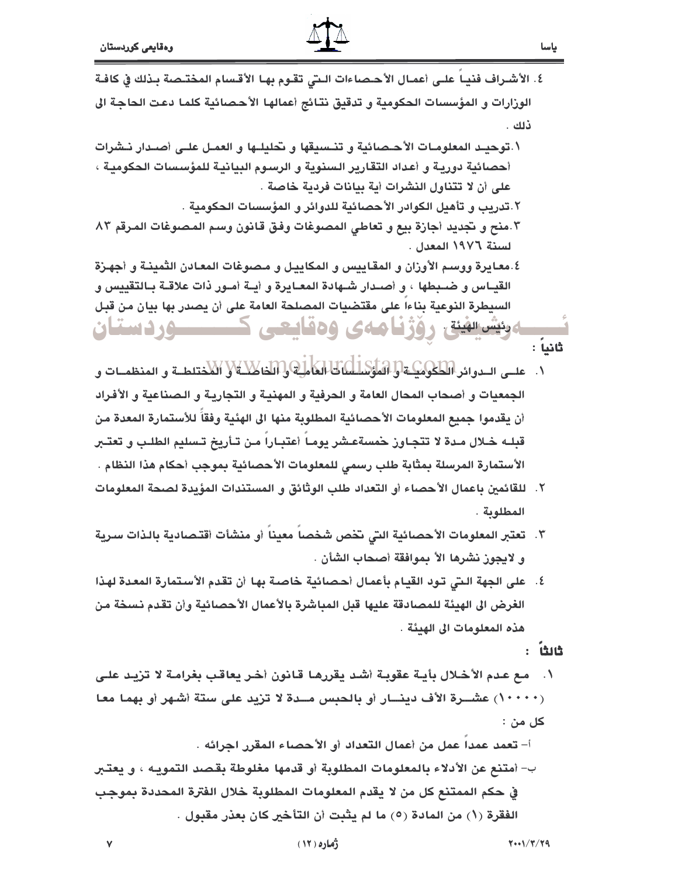- ياسا
- ٤. الأشـراف فنيـا علـى أعمـال الأحـصاءات الـتي تقـوم بهـا الأقـسام المختـصة بـذلك في كافـة الورارات و المؤسسات الحكومية و تدقيق نتائج أعمالها الأحصائية كلما دعت الحاجة الى ذلك .
- ١.توحيـد المعلومـات الأحـصائية و تنـسيقها و تحليلـها و العمـل علـى أصـدار نـشرات أحصائية دوريـة و أعداد التقارير السنوية و الرسـوم البيانيـة للمؤسسات الحكوميـة ، على أن لا تتناول النشرات أبة بيانات فردبة خاصة .
	- ٢.تدريب و تأهيل الكوادر الأحصائية للدوائر و المؤسسات الحكومية .

**ودئیس الهینة رو و در ایا جهازی و در ایرانیایی** 

- ٠.منح و نجديد أجازة بيع و تعاطى المصوغات وفق قانون وسم المصوغات المرقم ٨٣ لسنة ١٩٧٦ المعدل .
- ٤.معايرة ووسم الأوزان و المقاييس و المكاييل و مصوغات المعادن الثمينـة و أجهـزة القيـاس و ضـبطها ، و أصـدار شـهادة المعـايرة و أيـة أمـور ذات علاقـة بـالتقييس و السيطرة النوعية بناءا على مقتضيات المصلحة العامة على أن يصدر بها بيان من قبل

ثانياً :

- لِمَلَاكَ الْعَامِلِيَّةَ إِذَالِكَاكِلِيَّةَ ﴿ الْكُفْتِلِطِيَّةَ وَ الْمُنْظَمِيَاتٍ وَ علــى الــدوائر اللطكوميلـة واللمؤس  $\cdot$ الجمعيات و أصحاب المحال العامة و الحرفية و المهنيـة و التجاريـة و الـصناعية و الأفـراد أن يقدموا جميع المعلومات الأحصائية المطلوبة منها الى الهئية وفقاً للأستمارة المعدة من قبلـه خـلال مـدة لا تتجـاوز حمسةعـشر يومـا أعتبـارا مـن تـأريخ تـسليم الطلـب و تعتــر الأستمارة المرسلة بمثابة طلب رسمي للمعلومات الأحصائية بموجب أحكام هذا النظام .
- ٢. للقائمين باعمال الأحصاء أو التعداد طلب الوثائق و المستندات المؤيدة لصحة المعلومات المطلوبة .
- ٣. تعتبر المعلومات الأحصائية التي تخص شخصا معينا أو منشأت أقتصادية بالذات سرية و لايجوز نشرها الأ بموافقة أصحاب الشأن .
- ٤. على الجهة الـتي تـود القيام بأعمال أحصائية خاصـة بها أن تقدم الأسـتمارة المعدة لهذا الغرض الى الهيئة للمصادقة عليها قبل المباشرة بالأعمال الأحصائية وأن تقدم نسخة من هذه المعلومات الى الهدئة .

: ម៉ែងចំ

مع عدم الأخلال بأيـة عقوبـة أشـد يقررهـا قـانون أخـر يعاقـب بغرامـة لا تزيـد علـى  $\overline{\phantom{a}}$ . (١٠٠٠٠) عشــرة الأف دينـــار أو بالحبس مــدة لا تزيد على ستة أشهر أو بهما معا کل من :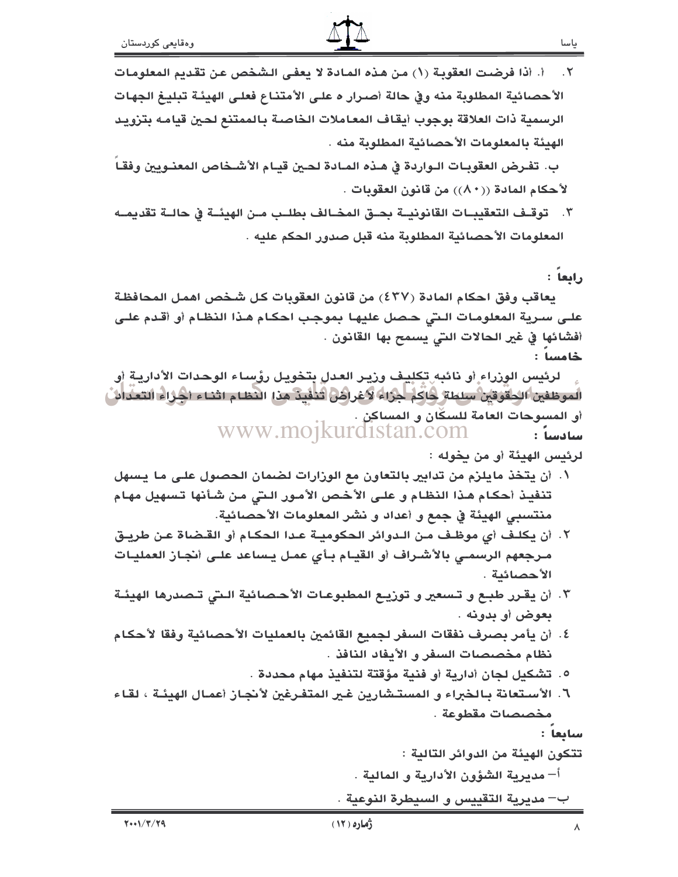أ. أذا فرضت العقوبة (١) من هذه المادة لا يعفي الشخص عن تقديم المعلومات  $.7$ الأحصائية المطلوبة منه وفي حالة أصـرار ه علـى الأمتنـاع فعلـى الهيئـة تبليـغ الجهـات الرسمية ذات العلاقة بوجوب أيقاف المعاملات الخاصة بالممتنع لحين قيامه بتزويد الهيئة بالمعلومات الأحصائية المطلوبة منه .

ب. تفرض العقوبـات الـواردة في هـذه المـادة لحـين قيـام الأشـخاص المعنـويين وفقـا لأحكام المادة ((٨٠)) من قانون العقوبات .

٢. توقـف التعقيبــات القانونيــة بحــق المخــالف بطلــب مــن الهيئــة في حالــة تقديمــه المعلومات الأحصائية المطلوبة منه قبل صدور الحكم عليه .

رابعاً :

يعاقب وفق احكام المادة (٤٣٧) من قانون العقوبات كل شخص اهمل المحافظة علـى سـرية المعلومـات الـتي حـصل عليهـا بموجب احكـام هـذا النظـام أو أقـدم علـي أفشائها في غير الحالات التي يسمح بها القانون .

خامسا :

لرئيس الوزراء أو نائبه تكليف وزيـر العدل بتخويـل رؤسـاء الوحدات الأداريـة أو الموظفين الحقوقين سلطة حاكم جزاء لأغراض تتلفيذ هذا النظام اثناء أجزاء التعدائن أو المسوحات العامة للسكّان و المساكن . www.moikurdistan.com سادسا :

لرئيس الهيئة أو من بخوله :

- ١. أن يتخذ مايلزم من تدابير بالتعاون مع الوزارات لضمان الحصول على ما يسهل تنفيذ أحكام هذا النظام و على الأخص الأمور التي من شأنها تسهيل مهام منتسبي الهيئة في جمع و أعداد و نشر المعلومات الأحصائية.
- ٢. أن يكلف أي موظف من الـدوائر الحكوميـة عـدا الحكـام أو القـضاة عـن طريـق مـرجعهم الرسمـى بالأشـراف أو القيـام بـأى عمـل يـساعد علـى أنجـاز العمليـات الأحصائبة .
- ٣. أن يقـرر طبـع و تـسعير و توزيـع المطبوعـات الأحـصـائية الـتي تـصـدرها الهيئـة بعوض أو بدونه .
- ٤. أن يأمر بصرف نفقات السفر لجميع القائمين بالعمليات الأحصائية وفقا لأحكام نظام مخصصات السفر و الأيفاد النافذ .
	- ٥. تشكيل لجان أدارية أو فنية مؤقتة لتنفيذ مهام محددة .
- ٦. الأستعانة بـالخبراء و المستـشارين غـير المتفـرغين لأنجـاز أعمـال الهيئـة ، لقـاء مخصصات مقطوعة .

سايعا :